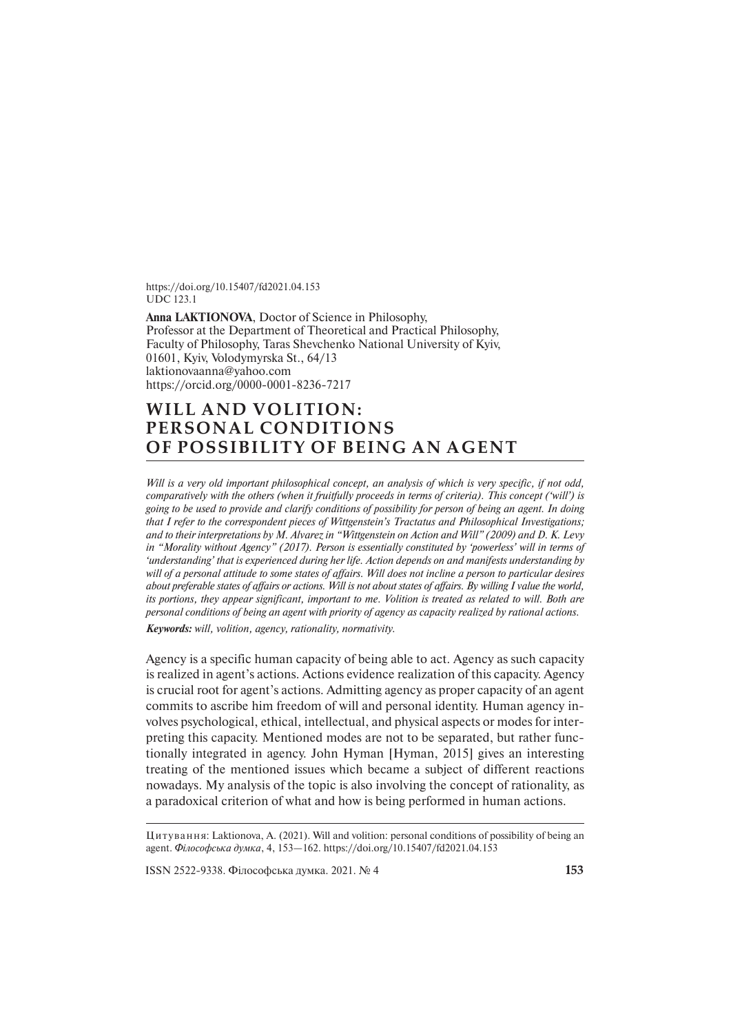https://doi.org/10.15407/fd2021.04.153 UDC 123.1

**Anna LAKTIONOVA**, Doctor of Science in Philosophy, Professor at the Department of Theoretical and Practical Philosophy, Faculty of Philosophy, Taras Shevchenko National University of Kyiv, 01601, Kyiv, Volodymyrska St., 64/13 laktionovaanna@yahoo.com https://orcid.org/0000-0001-8236-7217

## **WILL AND VOLITION: PERSONAL CONDITIONS OF POSSIBILITY OF BEING AN AGENT**

*Will is a very old important philosophical concept, an analysis of which is very specific, if not odd, comparatively with the others (when it fruitfully proceeds in terms of criteria). This concept ('will') is going to be used to provide and clarify conditions of possibility for person of being an agent. In doing that I refer to the correspondent pieces of Wittgenstein's Tractatus and Philosophical Investigations;* and to their interpretations by M. Alvarez in "Wittgenstein on Action and Will" (2009) and D. K. Levy *in "Morality without Agency" (2017). Person is essentially constituted by 'powerless' will in terms of 'understanding' that is experienced during her life. Action depends on and manifests understanding by*  will of a personal attitude to some states of affairs. Will does not incline a person to particular desires *about preferable states of affairs or actions. Will is not about states of affairs. By willing I value the world, its portions, they appear significant, important to me. Volition is treated as related to will. Both are personal conditions of being an agent with priority of agency as capacity realized by rational actions. Keywords: will, volition, agency, rationality, normativity.*

Agency is a specific human capacity of being able to act. Agency as such capacity is realized in agent's actions. Actions evidence realization of this capacity. Agency is crucial root for agent's actions. Admitting agency as proper capacity of an agent commits to ascribe him freedom of will and personal identity. Human agency involves psychological, ethical, intellectual, and physical aspects or modes for interpreting this capacity. Mentioned modes are not to be separated, but rather functionally integrated in agency. John Hyman [Hyman, 2015] gives an interesting treating of the mentioned issues which became a subject of different reactions nowadays. My analysis of the topic is also involving the concept of rationality, as a paradoxical criterion of what and how is being performed in human actions.

Цитування: Laktionova, A. (2021). Will and volition: personal conditions of possibility of being an agent. *Філософська думка*, 4, 153—162. https://doi.org/10.15407/fd2021.04.153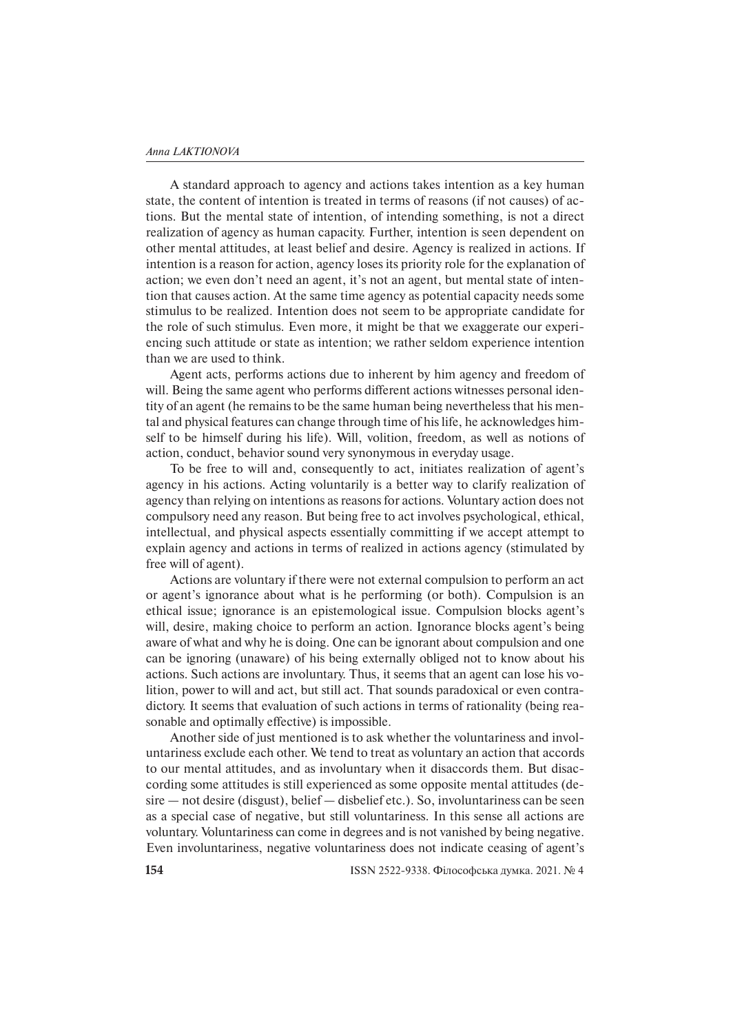A standard approach to agency and actions takes intention as a key human state, the content of intention is treated in terms of reasons (if not causes) of actions. But the mental state of intention, of intending something, is not a direct realization of agency as human capacity. Further, intention is seen dependent on other mental attitudes, at least belief and desire. Agency is realized in actions. If intention is a reason for action, agency loses its priority role for the explanation of action; we even don't need an agent, it's not an agent, but mental state of intention that causes action. At the same time agency as potential capacity needs some stimulus to be realized. Intention does not seem to be appropriate candidate for the role of such stimulus. Even more, it might be that we exaggerate our experiencing such attitude or state as intention; we rather seldom experience intention than we are used to think.

Agent acts, performs actions due to inherent by him agency and freedom of will. Being the same agent who performs different actions witnesses personal identity of an agent (he remains to be the same human being nevertheless that his mental and physical features can change through time of his life, he acknowledges himself to be himself during his life). Will, volition, freedom, as well as notions of action, conduct, behavior sound very synonymous in everyday usage.

To be free to will and, consequently to act, initiates realization of agent's agency in his actions. Acting voluntarily is a better way to clarify realization of agency than relying on intentions as reasons for actions. Voluntary action does not compulsory need any reason. But being free to act involves psychological, ethical, intellectual, and physical aspects essentially committing if we accept attempt to explain agency and actions in terms of realized in actions agency (stimulated by free will of agent).

Actions are voluntary if there were not external compulsion to perform an act or agent's ignorance about what is he performing (or both). Compulsion is an ethical issue; ignorance is an epistemological issue. Compulsion blocks agent's will, desire, making choice to perform an action. Ignorance blocks agent's being aware of what and why he is doing. One can be ignorant about compulsion and one can be ignoring (unaware) of his being externally obliged not to know about his actions. Such actions are involuntary. Thus, it seems that an agent can lose his volition, power to will and act, but still act. That sounds paradoxical or even contradictory. It seems that evaluation of such actions in terms of rationality (being reasonable and optimally effective) is impossible.

Another side of just mentioned is to ask whether the voluntariness and involuntariness exclude each other. We tend to treat as voluntary an action that accords to our mental attitudes, and as involuntary when it disaccords them. But disaccording some attitudes is still experienced as some opposite mental attitudes (desire — not desire (disgust), belief — disbelief etc.). So, involuntariness can be seen as a special case of negative, but still voluntariness. In this sense all actions are voluntary. Voluntariness can come in degrees and is not vanished by being negative. Even involuntariness, negative voluntariness does not indicate ceasing of agent's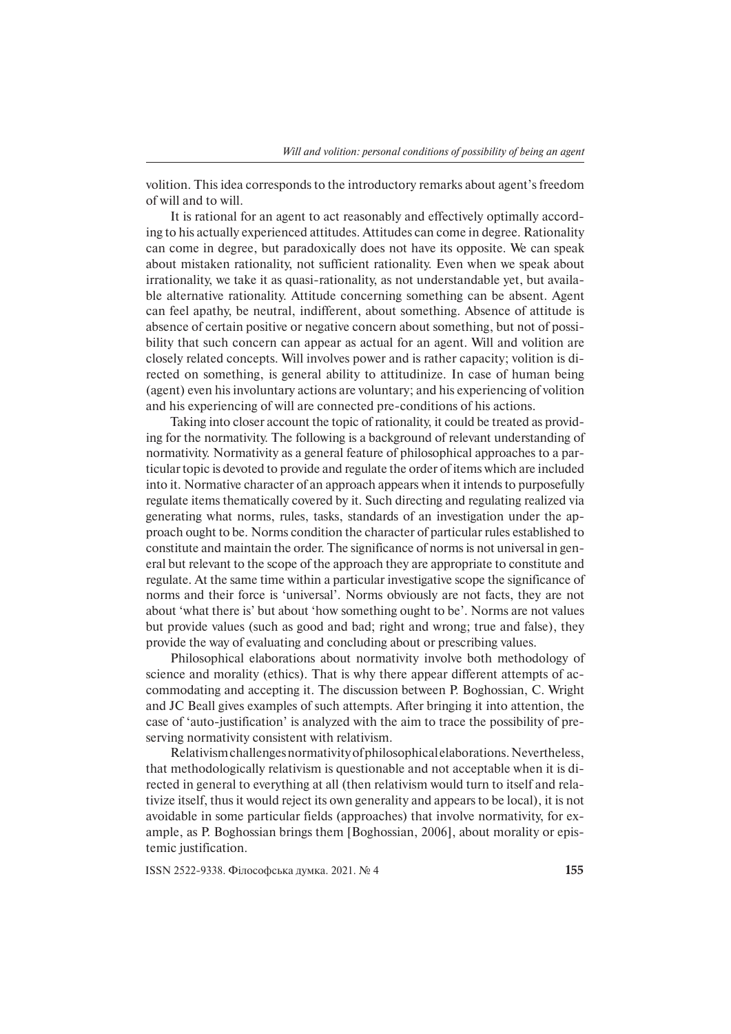volition. This idea corresponds to the introductory remarks about agent's freedom of will and to will.

It is rational for an agent to act reasonably and effectively optimally according to his actually experienced attitudes. Attitudes can come in degree. Rationality can come in degree, but paradoxically does not have its opposite. We can speak about mistaken rationality, not sufficient rationality. Even when we speak about irrationality, we take it as quasi-rationality, as not understandable yet, but available alternative rationality. Attitude concerning something can be absent. Agent can feel apathy, be neutral, indifferent, about something. Absence of attitude is absence of certain positive or negative concern about something, but not of possibility that such concern can appear as actual for an agent. Will and volition are closely related concepts. Will involves power and is rather capacity; volition is directed on something, is general ability to attitudinize. In case of human being (agent) even his involuntary actions are voluntary; and his experiencing of volition and his experiencing of will are connected pre-conditions of his actions.

Taking into closer account the topic of rationality, it could be treated as providing for the normativity. The following is a background of relevant understanding of normativity. Normativity as a general feature of philosophical approaches to a particular topic is devoted to provide and regulate the order of items which are included into it. Normative character of an approach appears when it intends to purposefully regulate items thematically covered by it. Such directing and regulating realized via generating what norms, rules, tasks, standards of an investigation under the approach ought to be. Norms condition the character of particular rules established to constitute and maintain the order. The significance of norms is not universal in general but relevant to the scope of the approach they are appropriate to constitute and regulate. At the same time within a particular investigative scope the significance of norms and their force is 'universal'. Norms obviously are not facts, they are not about 'what there is' but about 'how something ought to be'. Norms are not values but provide values (such as good and bad; right and wrong; true and false), they provide the way of evaluating and concluding about or prescribing values.

Philosophical elaborations about normativity involve both methodology of science and morality (ethics). That is why there appear different attempts of accommodating and accepting it. The discussion between P. Boghossian, C. Wright and JC Beall gives examples of such attempts. After bringing it into attention, the case of 'auto-justification' is analyzed with the aim to trace the possibility of preserving normativity consistent with relativism.

Relativism challenges normativity of philosophical elaborations. Nevertheless, that methodologically relativism is questionable and not acceptable when it is directed in general to everything at all (then relativism would turn to itself and relativize itself, thus it would reject its own generality and appears to be local), it is not avoidable in some particular fields (approaches) that involve normativity, for example, as P. Boghossian brings them [Boghossian, 2006], about morality or epistemic justification.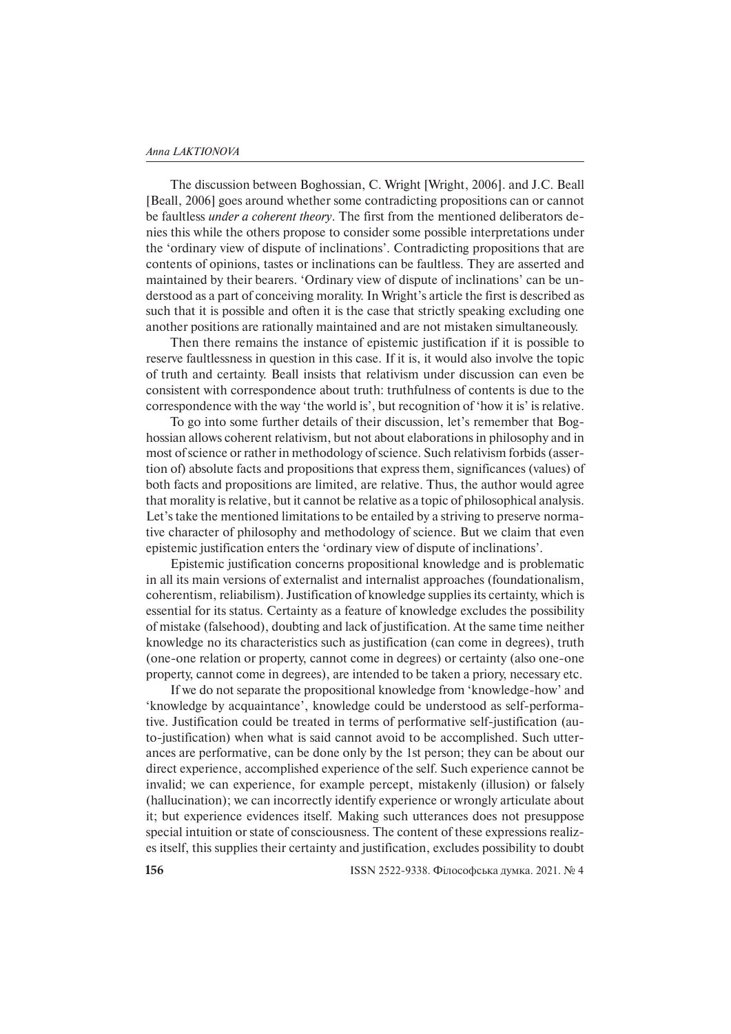The discussion between Boghossian, C. Wright [Wright, 2006]. and J.C. Beall [Beall, 2006] goes around whether some contradicting propositions can or cannot be faultless *under a coherent theory*. The first from the mentioned deliberators denies this while the others propose to consider some possible interpretations under the 'ordinary view of dispute of inclinations'. Contradicting propositions that are contents of opinions, tastes or inclinations can be faultless. They are asserted and maintained by their bearers. 'Ordinary view of dispute of inclinations' can be understood as a part of conceiving morality. In Wright's article the first is described as such that it is possible and often it is the case that strictly speaking excluding one another positions are rationally maintained and are not mistaken simultaneously.

Then there remains the instance of epistemic justification if it is possible to reserve faultlessness in question in this case. If it is, it would also involve the topic of truth and certainty. Beall insists that relativism under discussion can even be consistent with correspondence about truth: truthfulness of contents is due to the correspondence with the way 'the world is', but recognition of 'how it is' is relative.

To go into some further details of their discussion, let's remember that Boghos sian allows coherent relativism, but not about elaborations in philosophy and in most of science or rather in methodology of science. Such relativism forbids (assertion of) absolute facts and propositions that express them, significances (values) of both facts and propositions are limited, are relative. Thus, the author would agree that morality is relative, but it cannot be relative as a topic of philosophical analysis. Let's take the mentioned limitations to be entailed by a striving to preserve normative character of philosophy and methodology of science. But we claim that even epistemic justification enters the 'ordinary view of dispute of inclinations'.

Epistemic justification concerns propositional knowledge and is problematic in all its main versions of externalist and internalist approaches (foundationalism, coherentism, reliabilism). Justification of knowledge supplies its certainty, which is essential for its status. Certainty as a feature of knowledge excludes the possibility of mistake (falsehood), doubting and lack of justification. At the same time neither knowledge no its characteristics such as justification (can come in degrees), truth (one-one relation or property, cannot come in degrees) or certainty (also one-one property, cannot come in degrees), are intended to be taken a priory, necessary etc.

If we do not separate the propositional knowledge from 'knowledge-how' and 'knowledge by acquaintance', knowledge could be understood as self-performative. Justification could be treated in terms of performative self-justification (auto-justification) when what is said cannot avoid to be accomplished. Such utterances are performative, can be done only by the 1st person; they can be about our direct experience, accomplished experience of the self. Such experience cannot be invalid; we can experience, for example percept, mistakenly (illusion) or falsely (hallucination); we can incorrectly identify experience or wrongly articulate about it; but experience evidences itself. Making such utterances does not presuppose special intuition or state of consciousness. The content of these expressions realizes itself, this supplies their certainty and justification, excludes possibility to doubt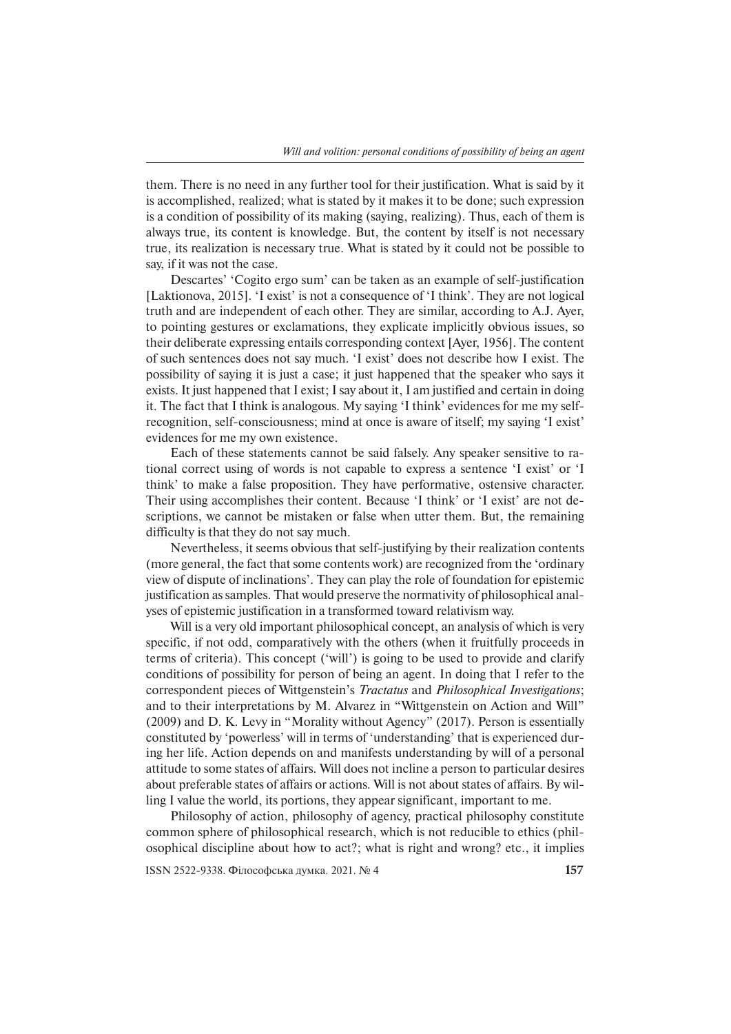them. There is no need in any further tool for their justification. What is said by it is accomplished, realized; what is stated by it makes it to be done; such expression is a condition of possibility of its making (saying, realizing). Thus, each of them is always true, its content is knowledge. But, the content by itself is not necessary true, its realization is necessary true. What is stated by it could not be possible to say, if it was not the case.

Descartes' 'Cogito ergo sum' can be taken as an example of self-justification [Laktionova, 2015]. 'I exist' is not a consequence of 'I think'. They are not logical truth and are independent of each other. They are similar, according to A.J. Ayer, to pointing gestures or exclamations, they explicate implicitly obvious issues, so their deliberate expressing entails corresponding context [Ayer, 1956]. The content of such sentences does not say much. 'I exist' does not describe how I exist. The possibility of saying it is just a case; it just happened that the speaker who says it exists. It just happened that I exist; I say about it, I am justified and certain in doing it. The fact that I think is analogous. My saying 'I think' evidences for me my selfrecognition, self-consciousness; mind at once is aware of itself; my saying 'I exist' evidences for me my own existence.

Each of these statements cannot be said falsely. Any speaker sensitive to rational correct using of words is not capable to express a sentence 'I exist' or 'I think' to make a false proposition. They have performative, ostensive character. Their using accomplishes their content. Because 'I think' or 'I exist' are not descriptions, we cannot be mistaken or false when utter them. But, the remaining difficulty is that they do not say much.

Nevertheless, it seems obvious that self-justifying by their realization contents (more general, the fact that some contents work) are recognized from the 'ordinary view of dispute of inclinations'. They can play the role of foundation for epistemic justification as samples. That would preserve the normativity of philosophical analyses of epistemic justification in a transformed toward relativism way.

Will is a very old important philosophical concept, an analysis of which is very specific, if not odd, comparatively with the others (when it fruitfully proceeds in terms of criteria). This concept ('will') is going to be used to provide and clarify conditions of possibility for person of being an agent. In doing that I refer to the correspondent pieces of Wittgenstein's *Tractatus* and *Philosophical Investigations*; and to their interpretations by M. Alvarez in "Wittgenstein on Action and Will" (2009) and D. K. Levy in "Morality without Agency" (2017). Person is essentially constituted by 'powerless' will in terms of 'understanding' that is experienced during her life. Action depends on and manifests understanding by will of a personal attitude to some states of affairs. Will does not incline a person to particular desires about preferable states of affairs or actions. Will is not about states of affairs. By willing I value the world, its portions, they appear significant, important to me.

Philosophy of action, philosophy of agency, practical philosophy constitute common sphere of philosophical research, which is not reducible to ethics (philosophical discipline about how to act?; what is right and wrong? etc., it implies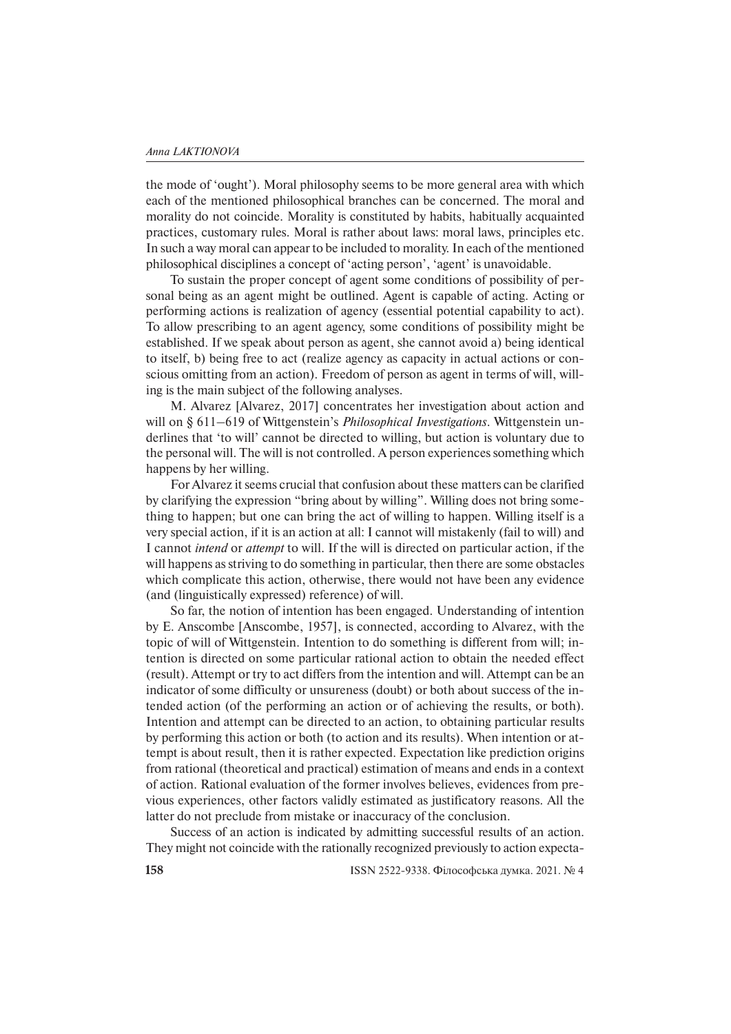the mode of 'ought'). Moral philosophy seems to be more general area with which each of the mentioned philosophical branches can be concerned. The moral and morality do not coincide. Morality is constituted by habits, habitually acquainted practices, customary rules. Moral is rather about laws: moral laws, principles etc. In such a way moral can appear to be included to morality. In each of the mentioned philosophical disciplines a concept of 'acting person', 'agent' is unavoidable.

To sustain the proper concept of agent some conditions of possibility of personal being as an agent might be outlined. Agent is capable of acting. Acting or performing actions is realization of agency (essential potential capability to act). To allow prescribing to an agent agency, some conditions of possibility might be established. If we speak about person as agent, she cannot avoid a) being identical to itself, b) being free to act (realize agency as capacity in actual actions or conscious omitting from an action). Freedom of person as agent in terms of will, willing is the main subject of the following analyses.

M. Alvarez [Alvarez, 2017] concentrates her investigation about action and will on § 611–619 of Wittgenstein's *Philosophical Investigations*. Wittgenstein underlines that 'to will' cannot be directed to willing, but action is voluntary due to the personal will. The will is not controlled. A person experiences something which happens by her willing.

For Alvarez it seems crucial that confusion about these matters can be clarified by clarifying the expression "bring about by willing". Willing does not bring something to happen; but one can bring the act of willing to happen. Willing itself is a very special action, if it is an action at all: I cannot will mistakenly (fail to will) and I cannot *intend* or *attempt* to will. If the will is directed on particular action, if the will happens as striving to do something in particular, then there are some obstacles which complicate this action, otherwise, there would not have been any evidence (and (linguistically expressed) reference) of will.

So far, the notion of intention has been engaged. Understanding of intention by E. Anscombe [Anscombe, 1957], is connected, according to Alvarez, with the topic of will of Wittgenstein. Intention to do something is different from will; intention is directed on some particular rational action to obtain the needed effect (result). Attempt or try to act differs from the intention and will. Attempt can be an indicator of some difficulty or unsureness (doubt) or both about success of the intended action (of the performing an action or of achieving the results, or both). Intention and attempt can be directed to an action, to obtaining particular results by performing this action or both (to action and its results). When intention or attempt is about result, then it is rather expected. Expectation like prediction origins from rational (theoretical and practical) estimation of means and ends in a context of action. Rational evaluation of the former involves believes, evidences from previous experiences, other factors validly estimated as justificatory reasons. All the latter do not preclude from mistake or inaccuracy of the conclusion.

Success of an action is indicated by admitting successful results of an action. They might not coincide with the rationally recognized previously to action expecta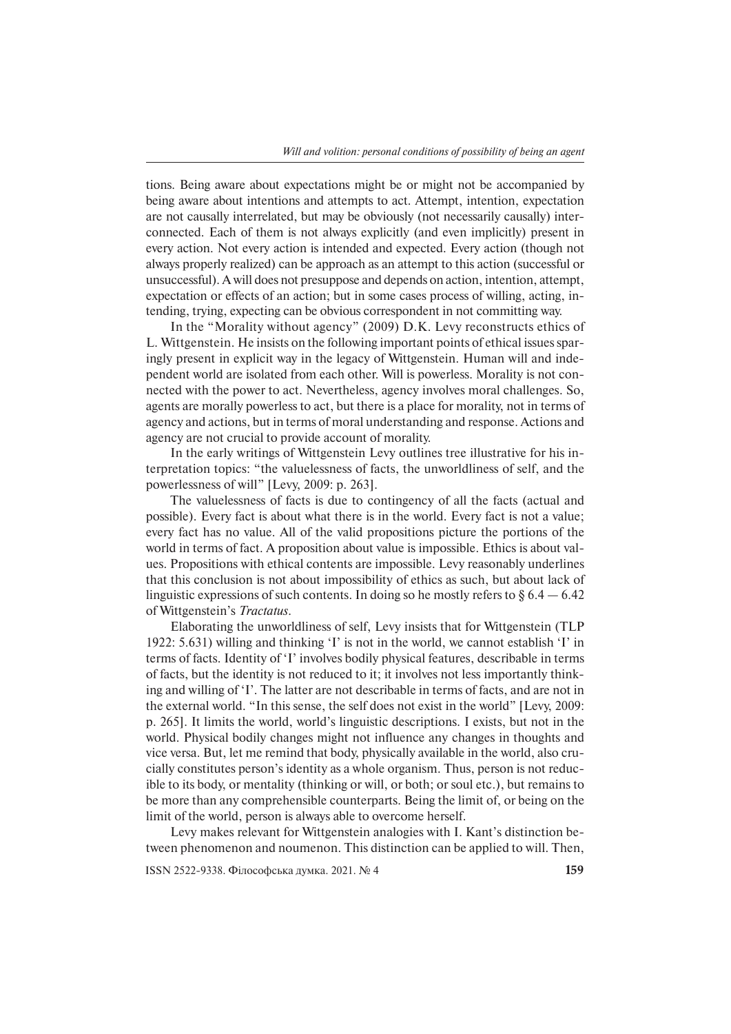tions. Being aware about expectations might be or might not be accompanied by being aware about intentions and attempts to act. Attempt, intention, expectation are not causally interrelated, but may be obviously (not necessarily causally) interconnected. Each of them is not always explicitly (and even implicitly) present in every action. Not every action is intended and expected. Every action (though not always properly realized) can be approach as an attempt to this action (successful or unsuccessful). A will does not presuppose and depends on action, intention, attempt, expectation or effects of an action; but in some cases process of willing, acting, intending, trying, expecting can be obvious correspondent in not committing way.

In the "Morality without agency" (2009) D.K. Levy reconstructs ethics of L. Wit tgenstein. He insists on the following important points of ethical issues sparingly present in explicit way in the legacy of Wittgenstein. Human will and independent world are isolated from each other. Will is powerless. Morality is not connected with the power to act. Nevertheless, agency involves moral challenges. So, agents are morally powerless to act, but there is a place for morality, not in terms of agency and actions, but in terms of moral understanding and response. Actions and agency are not crucial to provide account of morality.

In the early writings of Wittgenstein Levy outlines tree illustrative for his interpretation topics: "the valuelessness of facts, the unworldliness of self, and the powerlessness of will" [Levy, 2009: p. 263].

The valuelessness of facts is due to contingency of all the facts (actual and possible). Every fact is about what there is in the world. Every fact is not a value; every fact has no value. All of the valid propositions picture the portions of the world in terms of fact. A proposition about value is impossible. Ethics is about values. Propositions with ethical contents are impossible. Levy reasonably underlines that this conclusion is not about impossibility of ethics as such, but about lack of linguistic expressions of such contents. In doing so he mostly refers to  $\S 6.4 - 6.42$ of Wittgenstein's *Tractatus*.

Elaborating the unworldliness of self, Levy insists that for Wittgenstein (TLP 1922: 5.631) willing and thinking 'I' is not in the world, we cannot establish 'I' in terms of facts. Identity of 'I' involves bodily physical features, describable in terms of facts, but the identity is not reduced to it; it involves not less importantly thinking and willing of 'I'. The latter are not describable in terms of facts, and are not in the external world. "In this sense, the self does not exist in the world" [Levy, 2009: p. 265]. It limits the world, world's linguistic descriptions. I exists, but not in the world. Physical bodily changes might not influence any changes in thoughts and vice versa. But, let me remind that body, physically available in the world, also crucially constitutes person's identity as a whole organism. Thus, person is not reducible to its body, or mentality (thinking or will, or both; or soul etc.), but remains to be more than any comprehensible counterparts. Being the limit of, or being on the limit of the world, person is always able to overcome herself.

Levy makes relevant for Wittgenstein analogies with I. Kant's distinction between phenomenon and noumenon. This distinction can be applied to will. Then,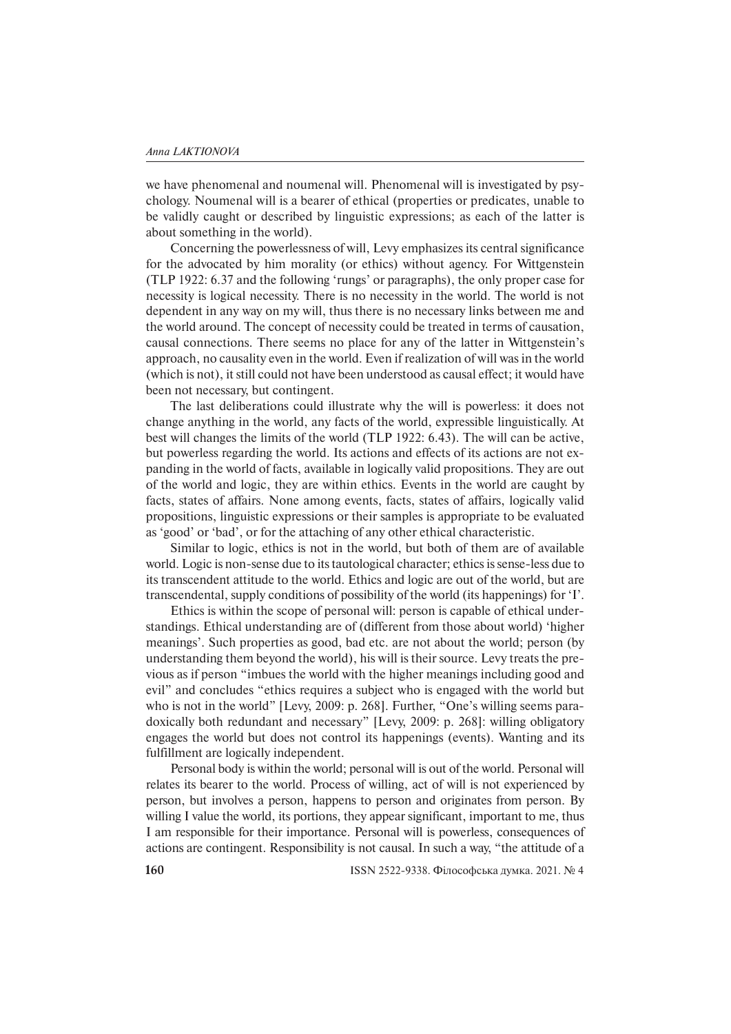we have phenomenal and noumenal will. Phenomenal will is investigated by psychology. Noumenal will is a bearer of ethical (properties or predicates, unable to be validly caught or described by linguistic expressions; as each of the latter is about something in the world).

Concerning the powerlessness of will, Levy emphasizes its central significance for the advocated by him morality (or ethics) without agency. For Wittgenstein (TLP 1922: 6.37 and the following 'rungs' or paragraphs), the only proper case for necessity is logical necessity. There is no necessity in the world. The world is not dependent in any way on my will, thus there is no necessary links between me and the world around. The concept of necessity could be treated in terms of causation, causal connections. There seems no place for any of the latter in Wittgenstein's approach, no causality even in the world. Even if realization of will was in the world (which is not), it still could not have been understood as causal effect; it would have been not necessary, but contingent.

The last deliberations could illustrate why the will is powerless: it does not change anything in the world, any facts of the world, expressible linguistically. At best will changes the limits of the world (TLP 1922: 6.43). The will can be active, but powerless regarding the world. Its actions and effects of its actions are not expanding in the world of facts, available in logically valid propositions. They are out of the world and logic, they are within ethics. Events in the world are caught by facts, states of affairs. None among events, facts, states of affairs, logically valid propositions, linguistic expressions or their samples is appropriate to be evaluated as 'good' or 'bad', or for the attaching of any other ethical characteristic.

Similar to logic, ethics is not in the world, but both of them are of available world. Logic is non-sense due to its tautological character; ethics is sense-less due to its transcendent attitude to the world. Ethics and logic are out of the world, but are transcendental, supply conditions of possibility of the world (its happenings) for 'I'.

Ethics is within the scope of personal will: person is capable of ethical understandings. Ethical understanding are of (different from those about world) 'higher meanings'. Such properties as good, bad etc. are not about the world; person (by understanding them beyond the world), his will is their source. Levy treats the previous as if person "imbues the world with the higher meanings including good and evil" and concludes "ethics requires a subject who is engaged with the world but who is not in the world" [Levy, 2009: p. 268]. Further, "One's willing seems paradoxically both redundant and necessary" [Levy, 2009: p. 268]: willing obligatory engages the world but does not control its happenings (events). Wanting and its fulfillment are logically independent.

Personal body is within the world; personal will is out of the world. Personal will relates its bearer to the world. Process of willing, act of will is not experienced by person, but involves a person, happens to person and originates from person. By willing I value the world, its portions, they appear significant, important to me, thus I am responsible for their importance. Personal will is powerless, consequences of actions are contingent. Responsibility is not causal. In such a way, "the attitude of a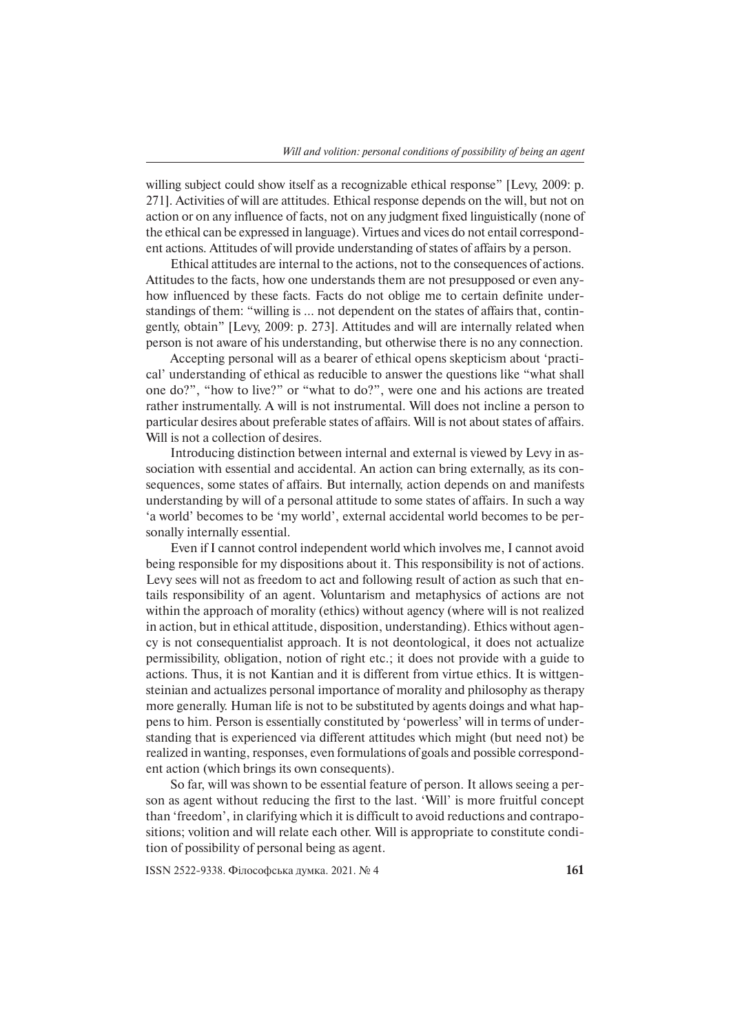willing subject could show itself as a recognizable ethical response" [Levy, 2009: p. 271]. Activities of will are attitudes. Ethical response depends on the will, but not on action or on any influence of facts, not on any judgment fixed linguistically (none of the ethical can be expressed in language). Virtues and vices do not entail correspondent actions. Attitudes of will provide understanding of states of affairs by a person.

Ethical attitudes are internal to the actions, not to the consequences of actions. Attitudes to the facts, how one understands them are not presupposed or even anyhow influenced by these facts. Facts do not oblige me to certain definite understandings of them: "willing is … not dependent on the states of affairs that, contingently, obtain" [Levy, 2009: p. 273]. Attitudes and will are internally related when person is not aware of his understanding, but otherwise there is no any connection.

Accepting personal will as a bearer of ethical opens skepticism about 'practical' understanding of ethical as reducible to answer the questions like "what shall one do?", "how to live?" or "what to do?", were one and his actions are treated rather instrumentally. A will is not instrumental. Will does not incline a person to particular desires about preferable states of affairs. Will is not about states of affairs. Will is not a collection of desires.

Introducing distinction between internal and external is viewed by Levy in association with essential and accidental. An action can bring externally, as its consequences, some states of affairs. But internally, action depends on and manifests understanding by will of a personal attitude to some states of affairs. In such a way 'a world' becomes to be 'my world', external accidental world becomes to be personally internally essential.

Even if I cannot control independent world which involves me, I cannot avoid being responsible for my dispositions about it. This responsibility is not of actions. Levy sees will not as freedom to act and following result of action as such that entails responsibility of an agent. Voluntarism and metaphysics of actions are not within the approach of morality (ethics) without agency (where will is not realized in action, but in ethical attitude, disposition, understanding). Ethics without agency is not consequentialist approach. It is not deontological, it does not actualize permissibility, obligation, notion of right etc.; it does not provide with a guide to actions. Thus, it is not Kantian and it is different from virtue ethics. It is wittgensteinian and actualizes personal importance of morality and philosophy as therapy more generally. Human life is not to be substituted by agents doings and what happens to him. Person is essentially constituted by 'powerless' will in terms of understanding that is experienced via different attitudes which might (but need not) be realized in wanting, responses, even formulations of goals and possible correspondent action (which brings its own consequents).

So far, will was shown to be essential feature of person. It allows seeing a person as agent without reducing the first to the last. 'Will' is more fruitful concept than 'freedom', in clarifying which it is difficult to avoid reductions and contrapositions; volition and will relate each other. Will is appropriate to constitute condition of possibility of personal being as agent.